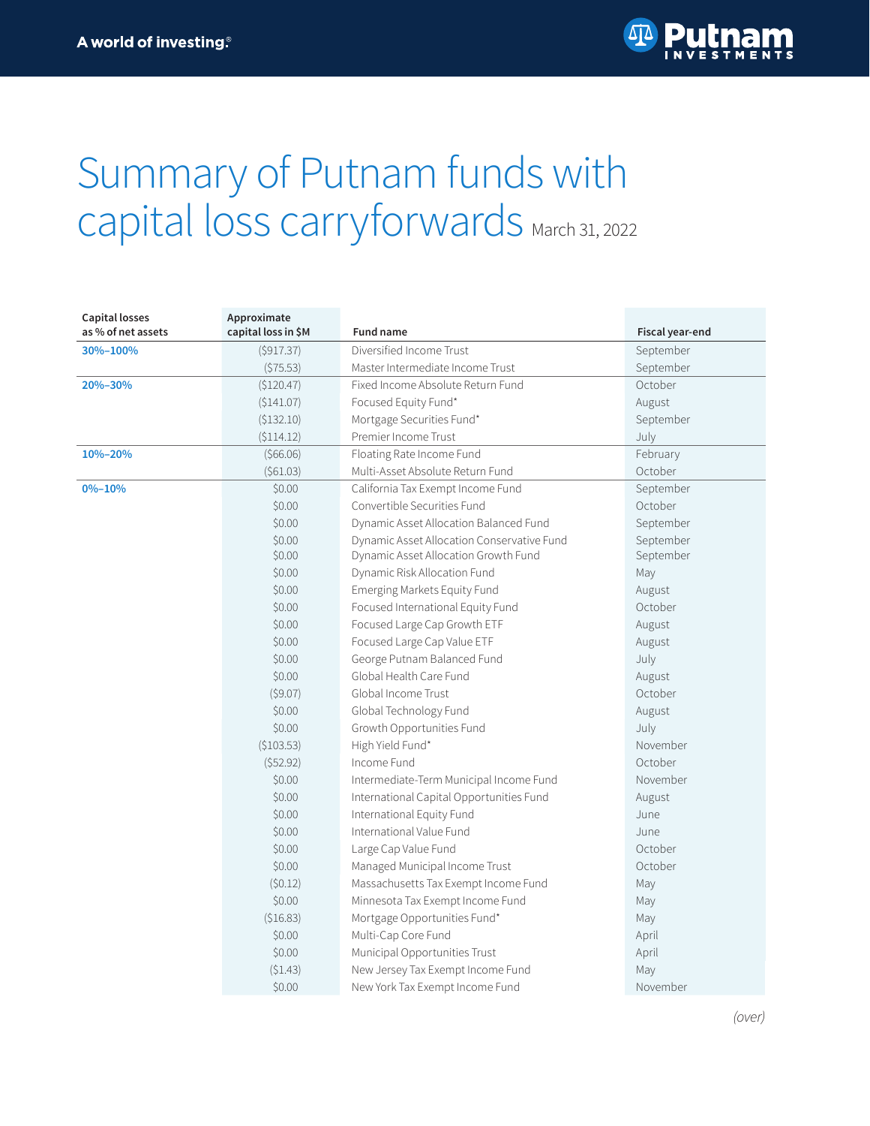

## Summary of Putnam funds with capital loss carryforwards March 31, 2022

| <b>Capital losses</b><br>as % of net assets | Approximate<br>capital loss in \$M | <b>Fund name</b>                           | Fiscal year-end |
|---------------------------------------------|------------------------------------|--------------------------------------------|-----------------|
| 30%-100%                                    | (\$917.37)                         | Diversified Income Trust                   | September       |
|                                             | (575.53)                           | Master Intermediate Income Trust           | September       |
| 20%-30%                                     | (\$120.47)                         | Fixed Income Absolute Return Fund          | October         |
|                                             | (\$141.07)                         | Focused Equity Fund*                       | August          |
|                                             | (\$132.10)                         | Mortgage Securities Fund*                  | September       |
|                                             | (\$114.12)                         | Premier Income Trust                       | July            |
| 10%-20%                                     | (566.06)                           | Floating Rate Income Fund                  | February        |
|                                             | (561.03)                           | Multi-Asset Absolute Return Fund           | October         |
| $0\% - 10\%$                                | \$0.00                             | California Tax Exempt Income Fund          | September       |
|                                             | \$0.00                             | Convertible Securities Fund                | October         |
|                                             | \$0.00                             | Dynamic Asset Allocation Balanced Fund     | September       |
|                                             | \$0.00                             | Dynamic Asset Allocation Conservative Fund | September       |
|                                             | \$0.00                             | Dynamic Asset Allocation Growth Fund       | September       |
|                                             | \$0.00                             | Dynamic Risk Allocation Fund               | May             |
|                                             | \$0.00                             | Emerging Markets Equity Fund               | August          |
|                                             | \$0.00                             | Focused International Equity Fund          | October         |
|                                             | \$0.00                             | Focused Large Cap Growth ETF               | August          |
|                                             | \$0.00                             | Focused Large Cap Value ETF                | August          |
|                                             | \$0.00                             | George Putnam Balanced Fund                | July            |
|                                             | \$0.00                             | Global Health Care Fund                    | August          |
|                                             | (\$9.07)                           | Global Income Trust                        | October         |
|                                             | \$0.00                             | Global Technology Fund                     | August          |
|                                             | \$0.00                             | Growth Opportunities Fund                  | July            |
|                                             | (\$103.53)                         | High Yield Fund*                           | November        |
|                                             | (552.92)                           | Income Fund                                | October         |
|                                             | \$0.00                             | Intermediate-Term Municipal Income Fund    | November        |
|                                             | \$0.00                             | International Capital Opportunities Fund   | August          |
|                                             | \$0.00                             | International Equity Fund                  | June            |
|                                             | \$0.00                             | International Value Fund                   | June            |
|                                             | \$0.00                             | Large Cap Value Fund                       | October         |
|                                             | \$0.00                             | Managed Municipal Income Trust             | October         |
|                                             | (50.12)                            | Massachusetts Tax Exempt Income Fund       | May             |
|                                             | \$0.00                             | Minnesota Tax Exempt Income Fund           | May             |
|                                             | (\$16.83)                          | Mortgage Opportunities Fund*               | May             |
|                                             | \$0.00                             | Multi-Cap Core Fund                        | April           |
|                                             | \$0.00                             | Municipal Opportunities Trust              | April           |
|                                             | (\$1.43)                           | New Jersey Tax Exempt Income Fund          | May             |
|                                             | \$0.00                             | New York Tax Exempt Income Fund            | November        |